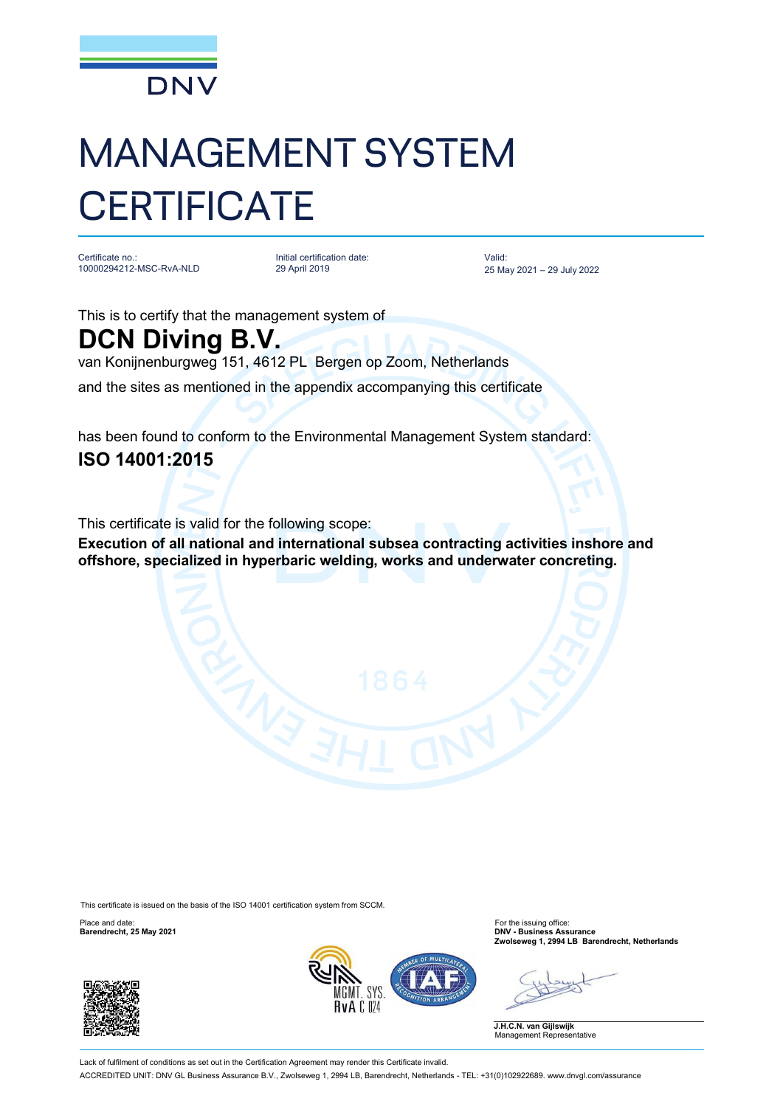

## MANAGEMENT SYSTEM **CERTIFICATE**

Certificate no.: 10000294212-MSC-RvA-NLD

Initial certification date: 29 April 2019

Valid: 25 May 2021 – 29 July <sup>2022</sup>

This is to certify that the management system of

## **DCN Diving B.V.**

van Konijnenburgweg 151, 4612 PL Bergen op Zoom, Netherlands

and the sites as mentioned in the appendix accompanying this certificate

has been found to conform to the Environmental Management System standard: **ISO 14001:2015**

This certificate is valid for the following scope:

**Execution of all national and international subsea contracting activities inshore and offshore, specialized in hyperbaric welding, works and underwater concreting.**

This certificate is issued on the basis of the ISO 14001 certification system from SCCM.





Place and date: For the issuing office: **Barendrecht, 25 May 2021 DNV - Business Assurance Zwolseweg 1, 2994 LB Barendrecht, Netherlands**

**J.H.C.N. van Gijlswijk** Management Representative

Lack of fulfilment of conditions as set out in the Certification Agreement may render this Certificate invalid. ACCREDITED UNIT: DNV GL Business Assurance B.V., Zwolseweg 1, 2994 LB, Barendrecht, Netherlands - TEL: +31(0)102922689. [www.dnvgl.com/assurance](http://www.dnvgl.com/assurance)